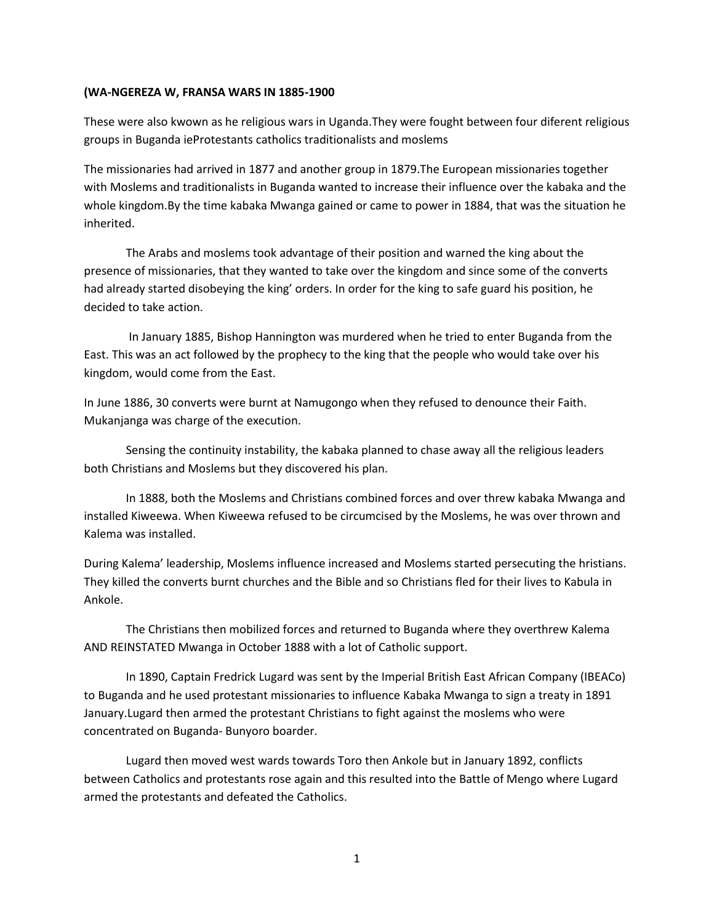#### **(WA-NGEREZA W, FRANSA WARS IN 1885-1900**

These were also kwown as he religious wars in Uganda.They were fought between four diferent religious groups in Buganda ieProtestants catholics traditionalists and moslems

The missionaries had arrived in 1877 and another group in 1879.The European missionaries together with Moslems and traditionalists in Buganda wanted to increase their influence over the kabaka and the whole kingdom.By the time kabaka Mwanga gained or came to power in 1884, that was the situation he inherited.

The Arabs and moslems took advantage of their position and warned the king about the presence of missionaries, that they wanted to take over the kingdom and since some of the converts had already started disobeying the king' orders. In order for the king to safe guard his position, he decided to take action.

In January 1885, Bishop Hannington was murdered when he tried to enter Buganda from the East. This was an act followed by the prophecy to the king that the people who would take over his kingdom, would come from the East.

In June 1886, 30 converts were burnt at Namugongo when they refused to denounce their Faith. Mukanjanga was charge of the execution.

Sensing the continuity instability, the kabaka planned to chase away all the religious leaders both Christians and Moslems but they discovered his plan.

In 1888, both the Moslems and Christians combined forces and over threw kabaka Mwanga and installed Kiweewa. When Kiweewa refused to be circumcised by the Moslems, he was over thrown and Kalema was installed.

During Kalema' leadership, Moslems influence increased and Moslems started persecuting the hristians. They killed the converts burnt churches and the Bible and so Christians fled for their lives to Kabula in Ankole.

The Christians then mobilized forces and returned to Buganda where they overthrew Kalema AND REINSTATED Mwanga in October 1888 with a lot of Catholic support.

In 1890, Captain Fredrick Lugard was sent by the Imperial British East African Company (IBEACo) to Buganda and he used protestant missionaries to influence Kabaka Mwanga to sign a treaty in 1891 January.Lugard then armed the protestant Christians to fight against the moslems who were concentrated on Buganda- Bunyoro boarder.

Lugard then moved west wards towards Toro then Ankole but in January 1892, conflicts between Catholics and protestants rose again and this resulted into the Battle of Mengo where Lugard armed the protestants and defeated the Catholics.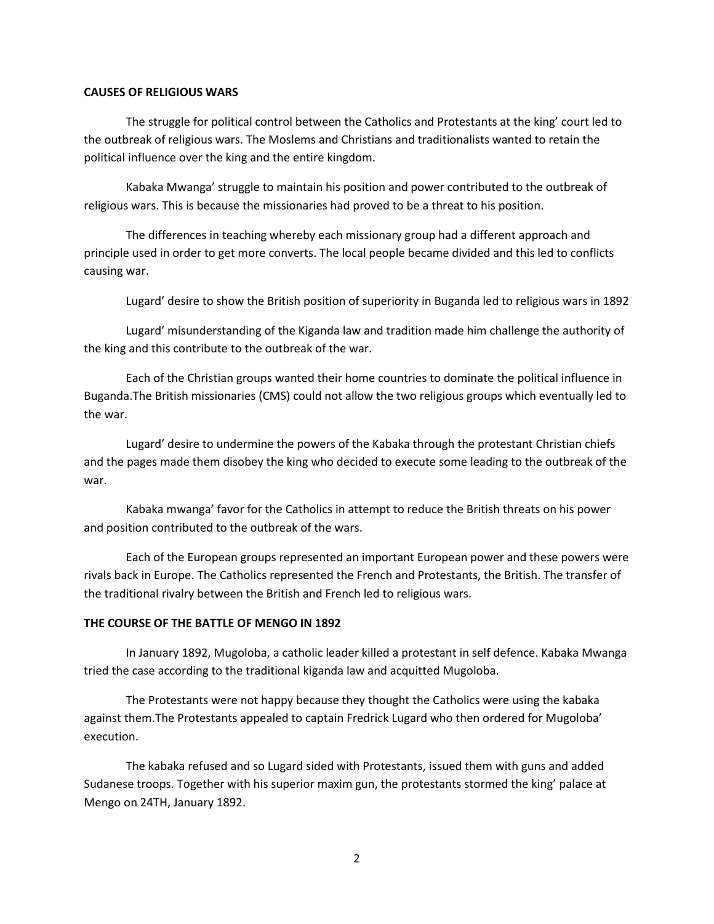#### **CAUSES OF RELIGIOUS WARS**

The struggle for political control between the Catholics and Protestants at the king' court led to the outbreak of religious wars. The Moslems and Christians and traditionalists wanted to retain the political influence over the king and the entire kingdom.

Kabaka Mwanga' struggle to maintain his position and power contributed to the outbreak of religious wars. This is because the missionaries had proved to be a threat to his position.

The differences in teaching whereby each missionary group had a different approach and principle used in order to get more converts. The local people became divided and this led to conflicts causing war.

Lugard' desire to show the British position of superiority in Buganda led to religious wars in 1892

Lugard' misunderstanding of the Kiganda law and tradition made him challenge the authority of the king and this contribute to the outbreak of the war.

Each of the Christian groups wanted their home countries to dominate the political influence in Buganda.The British missionaries (CMS) could not allow the two religious groups which eventually led to the war.

Lugard' desire to undermine the powers of the Kabaka through the protestant Christian chiefs and the pages made them disobey the king who decided to execute some leading to the outbreak of the war.

Kabaka mwanga' favor for the Catholics in attempt to reduce the British threats on his power and position contributed to the outbreak of the wars.

Each of the European groups represented an important European power and these powers were rivals back in Europe. The Catholics represented the French and Protestants, the British. The transfer of the traditional rivalry between the British and French led to religious wars.

### **THE COURSE OF THE BATTLE OF MENGO IN 1892**

In January 1892, Mugoloba, a catholic leader killed a protestant in self defence. Kabaka Mwanga tried the case according to the traditional kiganda law and acquitted Mugoloba.

The Protestants were not happy because they thought the Catholics were using the kabaka against them.The Protestants appealed to captain Fredrick Lugard who then ordered for Mugoloba' execution.

The kabaka refused and so Lugard sided with Protestants, issued them with guns and added Sudanese troops. Together with his superior maxim gun, the protestants stormed the king' palace at Mengo on 24TH, January 1892.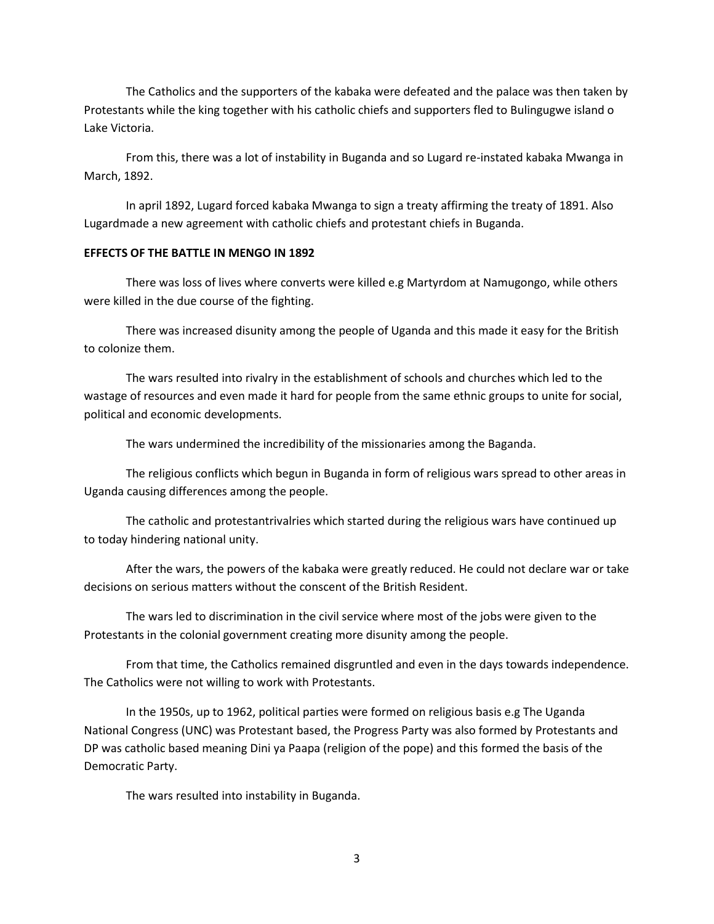The Catholics and the supporters of the kabaka were defeated and the palace was then taken by Protestants while the king together with his catholic chiefs and supporters fled to Bulingugwe island o Lake Victoria.

From this, there was a lot of instability in Buganda and so Lugard re-instated kabaka Mwanga in March, 1892.

In april 1892, Lugard forced kabaka Mwanga to sign a treaty affirming the treaty of 1891. Also Lugardmade a new agreement with catholic chiefs and protestant chiefs in Buganda.

#### **EFFECTS OF THE BATTLE IN MENGO IN 1892**

There was loss of lives where converts were killed e.g Martyrdom at Namugongo, while others were killed in the due course of the fighting.

There was increased disunity among the people of Uganda and this made it easy for the British to colonize them.

The wars resulted into rivalry in the establishment of schools and churches which led to the wastage of resources and even made it hard for people from the same ethnic groups to unite for social, political and economic developments.

The wars undermined the incredibility of the missionaries among the Baganda.

The religious conflicts which begun in Buganda in form of religious wars spread to other areas in Uganda causing differences among the people.

The catholic and protestantrivalries which started during the religious wars have continued up to today hindering national unity.

After the wars, the powers of the kabaka were greatly reduced. He could not declare war or take decisions on serious matters without the conscent of the British Resident.

The wars led to discrimination in the civil service where most of the jobs were given to the Protestants in the colonial government creating more disunity among the people.

From that time, the Catholics remained disgruntled and even in the days towards independence. The Catholics were not willing to work with Protestants.

In the 1950s, up to 1962, political parties were formed on religious basis e.g The Uganda National Congress (UNC) was Protestant based, the Progress Party was also formed by Protestants and DP was catholic based meaning Dini ya Paapa (religion of the pope) and this formed the basis of the Democratic Party.

The wars resulted into instability in Buganda.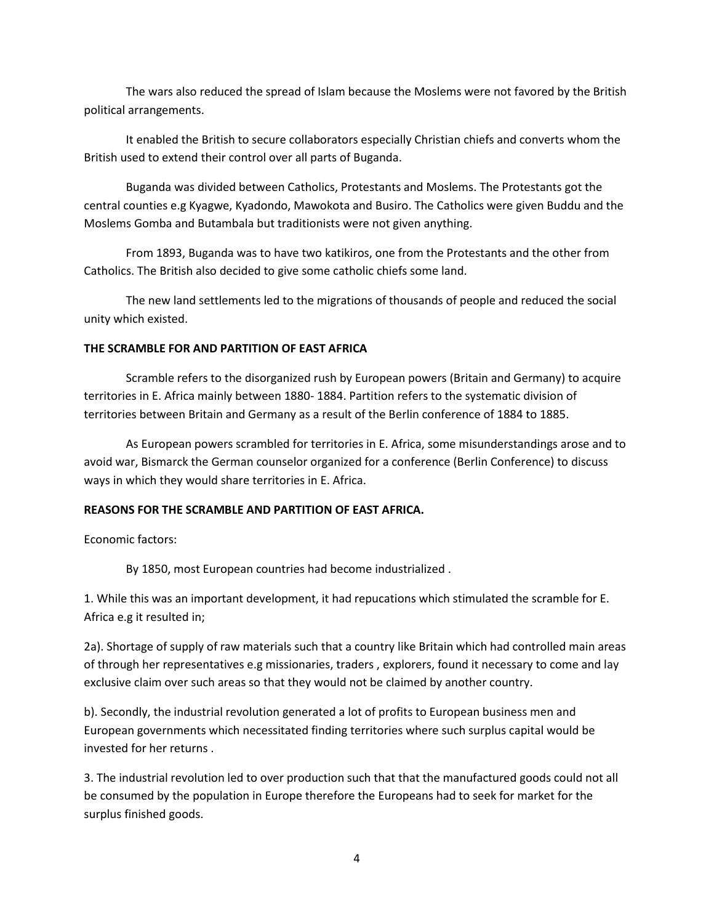The wars also reduced the spread of Islam because the Moslems were not favored by the British political arrangements.

It enabled the British to secure collaborators especially Christian chiefs and converts whom the British used to extend their control over all parts of Buganda.

Buganda was divided between Catholics, Protestants and Moslems. The Protestants got the central counties e.g Kyagwe, Kyadondo, Mawokota and Busiro. The Catholics were given Buddu and the Moslems Gomba and Butambala but traditionists were not given anything.

From 1893, Buganda was to have two katikiros, one from the Protestants and the other from Catholics. The British also decided to give some catholic chiefs some land.

The new land settlements led to the migrations of thousands of people and reduced the social unity which existed.

#### **THE SCRAMBLE FOR AND PARTITION OF EAST AFRICA**

Scramble refers to the disorganized rush by European powers (Britain and Germany) to acquire territories in E. Africa mainly between 1880- 1884. Partition refers to the systematic division of territories between Britain and Germany as a result of the Berlin conference of 1884 to 1885.

As European powers scrambled for territories in E. Africa, some misunderstandings arose and to avoid war, Bismarck the German counselor organized for a conference (Berlin Conference) to discuss ways in which they would share territories in E. Africa.

#### **REASONS FOR THE SCRAMBLE AND PARTITION OF EAST AFRICA.**

Economic factors:

By 1850, most European countries had become industrialized .

1. While this was an important development, it had repucations which stimulated the scramble for E. Africa e.g it resulted in;

2a). Shortage of supply of raw materials such that a country like Britain which had controlled main areas of through her representatives e.g missionaries, traders , explorers, found it necessary to come and lay exclusive claim over such areas so that they would not be claimed by another country.

b). Secondly, the industrial revolution generated a lot of profits to European business men and European governments which necessitated finding territories where such surplus capital would be invested for her returns .

3. The industrial revolution led to over production such that that the manufactured goods could not all be consumed by the population in Europe therefore the Europeans had to seek for market for the surplus finished goods.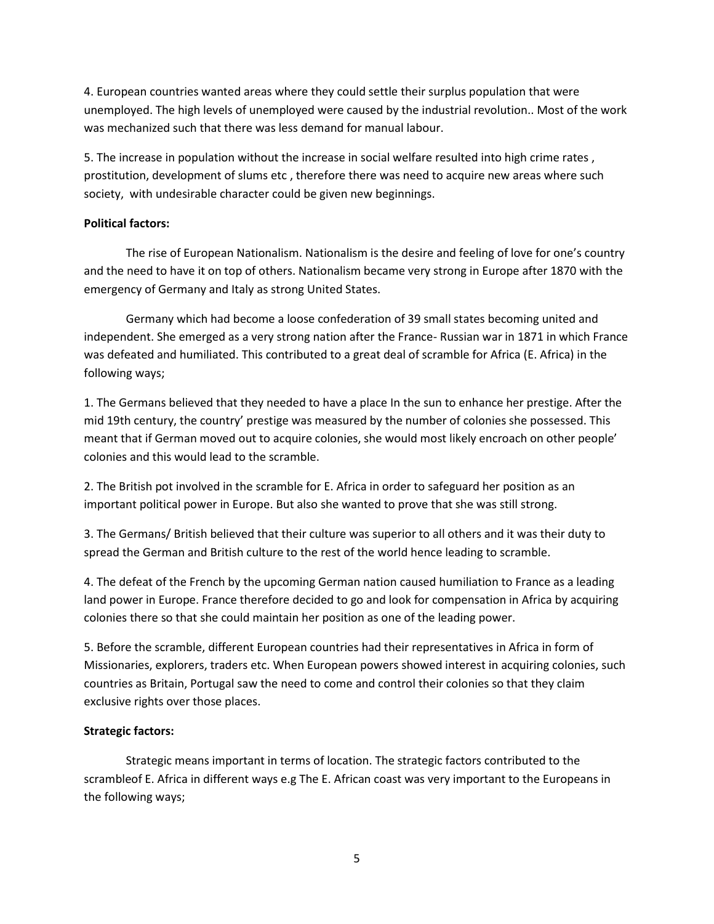4. European countries wanted areas where they could settle their surplus population that were unemployed. The high levels of unemployed were caused by the industrial revolution.. Most of the work was mechanized such that there was less demand for manual labour.

5. The increase in population without the increase in social welfare resulted into high crime rates , prostitution, development of slums etc , therefore there was need to acquire new areas where such society, with undesirable character could be given new beginnings.

## **Political factors:**

The rise of European Nationalism. Nationalism is the desire and feeling of love for one's country and the need to have it on top of others. Nationalism became very strong in Europe after 1870 with the emergency of Germany and Italy as strong United States.

Germany which had become a loose confederation of 39 small states becoming united and independent. She emerged as a very strong nation after the France- Russian war in 1871 in which France was defeated and humiliated. This contributed to a great deal of scramble for Africa (E. Africa) in the following ways;

1. The Germans believed that they needed to have a place In the sun to enhance her prestige. After the mid 19th century, the country' prestige was measured by the number of colonies she possessed. This meant that if German moved out to acquire colonies, she would most likely encroach on other people' colonies and this would lead to the scramble.

2. The British pot involved in the scramble for E. Africa in order to safeguard her position as an important political power in Europe. But also she wanted to prove that she was still strong.

3. The Germans/ British believed that their culture was superior to all others and it was their duty to spread the German and British culture to the rest of the world hence leading to scramble.

4. The defeat of the French by the upcoming German nation caused humiliation to France as a leading land power in Europe. France therefore decided to go and look for compensation in Africa by acquiring colonies there so that she could maintain her position as one of the leading power.

5. Before the scramble, different European countries had their representatives in Africa in form of Missionaries, explorers, traders etc. When European powers showed interest in acquiring colonies, such countries as Britain, Portugal saw the need to come and control their colonies so that they claim exclusive rights over those places.

# **Strategic factors:**

Strategic means important in terms of location. The strategic factors contributed to the scrambleof E. Africa in different ways e.g The E. African coast was very important to the Europeans in the following ways;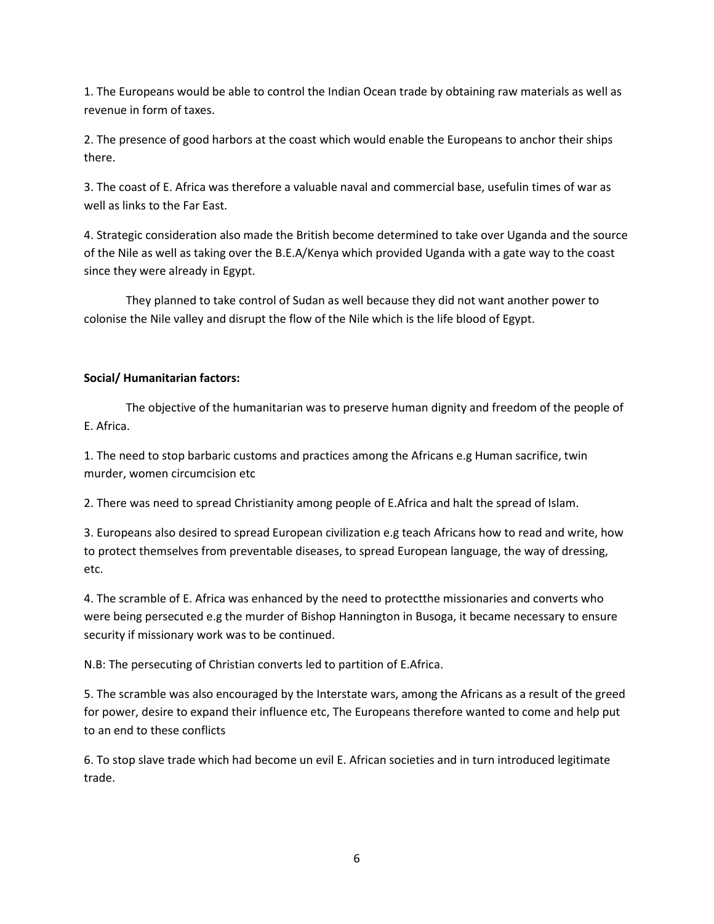1. The Europeans would be able to control the Indian Ocean trade by obtaining raw materials as well as revenue in form of taxes.

2. The presence of good harbors at the coast which would enable the Europeans to anchor their ships there.

3. The coast of E. Africa was therefore a valuable naval and commercial base, usefulin times of war as well as links to the Far East.

4. Strategic consideration also made the British become determined to take over Uganda and the source of the Nile as well as taking over the B.E.A/Kenya which provided Uganda with a gate way to the coast since they were already in Egypt.

They planned to take control of Sudan as well because they did not want another power to colonise the Nile valley and disrupt the flow of the Nile which is the life blood of Egypt.

# **Social/ Humanitarian factors:**

The objective of the humanitarian was to preserve human dignity and freedom of the people of E. Africa.

1. The need to stop barbaric customs and practices among the Africans e.g Human sacrifice, twin murder, women circumcision etc

2. There was need to spread Christianity among people of E.Africa and halt the spread of Islam.

3. Europeans also desired to spread European civilization e.g teach Africans how to read and write, how to protect themselves from preventable diseases, to spread European language, the way of dressing, etc.

4. The scramble of E. Africa was enhanced by the need to protectthe missionaries and converts who were being persecuted e.g the murder of Bishop Hannington in Busoga, it became necessary to ensure security if missionary work was to be continued.

N.B: The persecuting of Christian converts led to partition of E.Africa.

5. The scramble was also encouraged by the Interstate wars, among the Africans as a result of the greed for power, desire to expand their influence etc, The Europeans therefore wanted to come and help put to an end to these conflicts

6. To stop slave trade which had become un evil E. African societies and in turn introduced legitimate trade.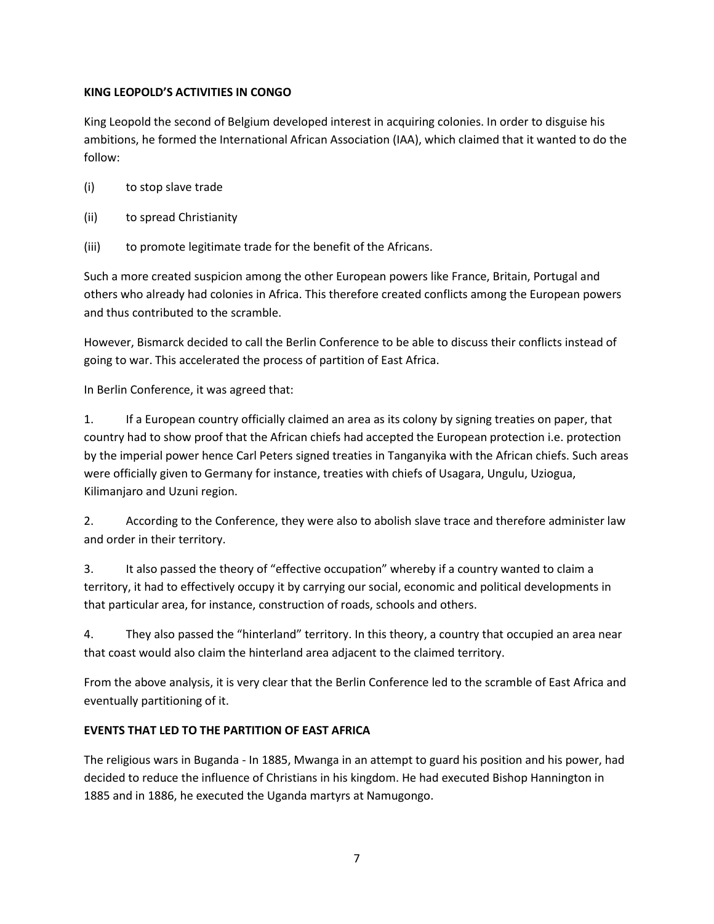## **KING LEOPOLD'S ACTIVITIES IN CONGO**

King Leopold the second of Belgium developed interest in acquiring colonies. In order to disguise his ambitions, he formed the International African Association (IAA), which claimed that it wanted to do the follow:

- (i) to stop slave trade
- (ii) to spread Christianity
- (iii) to promote legitimate trade for the benefit of the Africans.

Such a more created suspicion among the other European powers like France, Britain, Portugal and others who already had colonies in Africa. This therefore created conflicts among the European powers and thus contributed to the scramble.

However, Bismarck decided to call the Berlin Conference to be able to discuss their conflicts instead of going to war. This accelerated the process of partition of East Africa.

In Berlin Conference, it was agreed that:

1. If a European country officially claimed an area as its colony by signing treaties on paper, that country had to show proof that the African chiefs had accepted the European protection i.e. protection by the imperial power hence Carl Peters signed treaties in Tanganyika with the African chiefs. Such areas were officially given to Germany for instance, treaties with chiefs of Usagara, Ungulu, Uziogua, Kilimanjaro and Uzuni region.

2. According to the Conference, they were also to abolish slave trace and therefore administer law and order in their territory.

3. It also passed the theory of "effective occupation" whereby if a country wanted to claim a territory, it had to effectively occupy it by carrying our social, economic and political developments in that particular area, for instance, construction of roads, schools and others.

4. They also passed the "hinterland" territory. In this theory, a country that occupied an area near that coast would also claim the hinterland area adjacent to the claimed territory.

From the above analysis, it is very clear that the Berlin Conference led to the scramble of East Africa and eventually partitioning of it.

# **EVENTS THAT LED TO THE PARTITION OF EAST AFRICA**

The religious wars in Buganda - In 1885, Mwanga in an attempt to guard his position and his power, had decided to reduce the influence of Christians in his kingdom. He had executed Bishop Hannington in 1885 and in 1886, he executed the Uganda martyrs at Namugongo.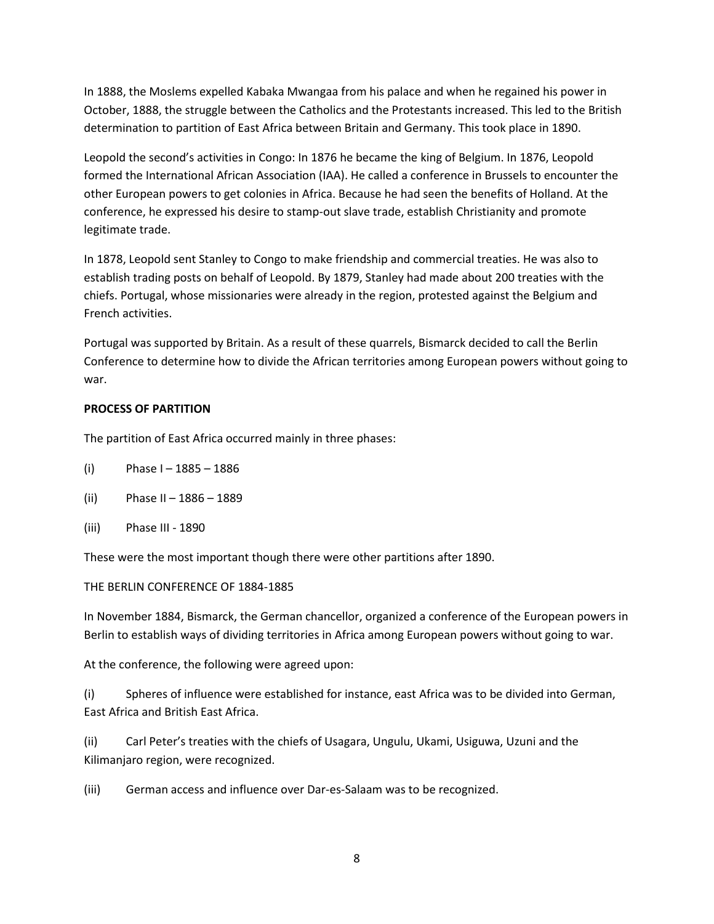In 1888, the Moslems expelled Kabaka Mwangaa from his palace and when he regained his power in October, 1888, the struggle between the Catholics and the Protestants increased. This led to the British determination to partition of East Africa between Britain and Germany. This took place in 1890.

Leopold the second's activities in Congo: In 1876 he became the king of Belgium. In 1876, Leopold formed the International African Association (IAA). He called a conference in Brussels to encounter the other European powers to get colonies in Africa. Because he had seen the benefits of Holland. At the conference, he expressed his desire to stamp-out slave trade, establish Christianity and promote legitimate trade.

In 1878, Leopold sent Stanley to Congo to make friendship and commercial treaties. He was also to establish trading posts on behalf of Leopold. By 1879, Stanley had made about 200 treaties with the chiefs. Portugal, whose missionaries were already in the region, protested against the Belgium and French activities.

Portugal was supported by Britain. As a result of these quarrels, Bismarck decided to call the Berlin Conference to determine how to divide the African territories among European powers without going to war.

## **PROCESS OF PARTITION**

The partition of East Africa occurred mainly in three phases:

- (i) Phase  $1 1885 1886$
- (ii) Phase II 1886 1889
- (iii) Phase III 1890

These were the most important though there were other partitions after 1890.

#### THE BERLIN CONFERENCE OF 1884-1885

In November 1884, Bismarck, the German chancellor, organized a conference of the European powers in Berlin to establish ways of dividing territories in Africa among European powers without going to war.

At the conference, the following were agreed upon:

(i) Spheres of influence were established for instance, east Africa was to be divided into German, East Africa and British East Africa.

(ii) Carl Peter's treaties with the chiefs of Usagara, Ungulu, Ukami, Usiguwa, Uzuni and the Kilimanjaro region, were recognized.

(iii) German access and influence over Dar-es-Salaam was to be recognized.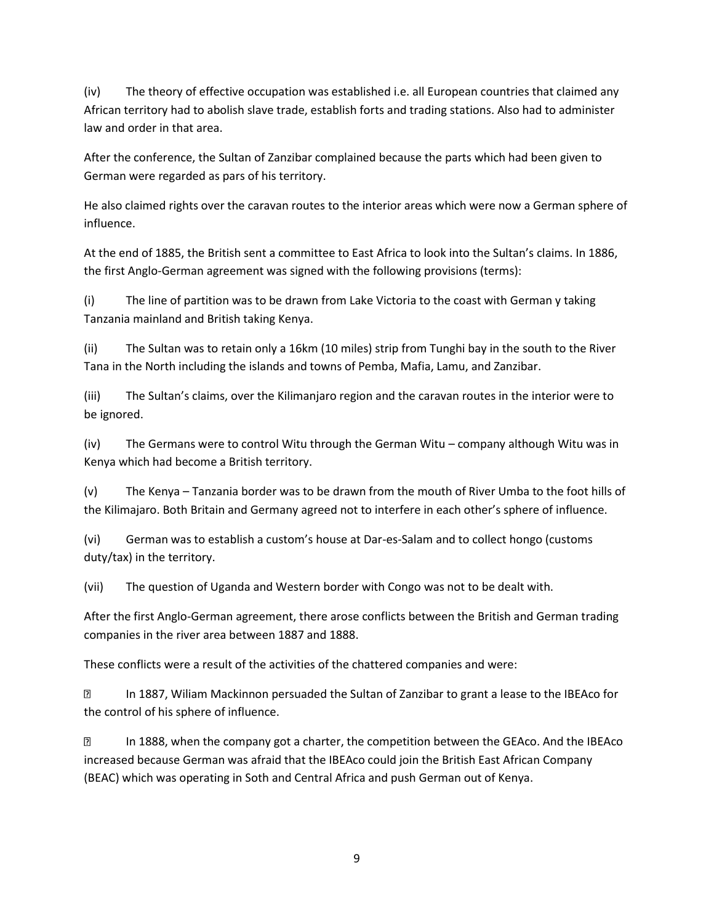(iv) The theory of effective occupation was established i.e. all European countries that claimed any African territory had to abolish slave trade, establish forts and trading stations. Also had to administer law and order in that area.

After the conference, the Sultan of Zanzibar complained because the parts which had been given to German were regarded as pars of his territory.

He also claimed rights over the caravan routes to the interior areas which were now a German sphere of influence.

At the end of 1885, the British sent a committee to East Africa to look into the Sultan's claims. In 1886, the first Anglo-German agreement was signed with the following provisions (terms):

(i) The line of partition was to be drawn from Lake Victoria to the coast with German y taking Tanzania mainland and British taking Kenya.

(ii) The Sultan was to retain only a 16km (10 miles) strip from Tunghi bay in the south to the River Tana in the North including the islands and towns of Pemba, Mafia, Lamu, and Zanzibar.

(iii) The Sultan's claims, over the Kilimanjaro region and the caravan routes in the interior were to be ignored.

(iv) The Germans were to control Witu through the German Witu – company although Witu was in Kenya which had become a British territory.

(v) The Kenya – Tanzania border was to be drawn from the mouth of River Umba to the foot hills of the Kilimajaro. Both Britain and Germany agreed not to interfere in each other's sphere of influence.

(vi) German was to establish a custom's house at Dar-es-Salam and to collect hongo (customs duty/tax) in the territory.

(vii) The question of Uganda and Western border with Congo was not to be dealt with.

After the first Anglo-German agreement, there arose conflicts between the British and German trading companies in the river area between 1887 and 1888.

These conflicts were a result of the activities of the chattered companies and were:

 $\boxed{2}$ In 1887, Wiliam Mackinnon persuaded the Sultan of Zanzibar to grant a lease to the IBEAco for the control of his sphere of influence.

? In 1888, when the company got a charter, the competition between the GEAco. And the IBEAco increased because German was afraid that the IBEAco could join the British East African Company (BEAC) which was operating in Soth and Central Africa and push German out of Kenya.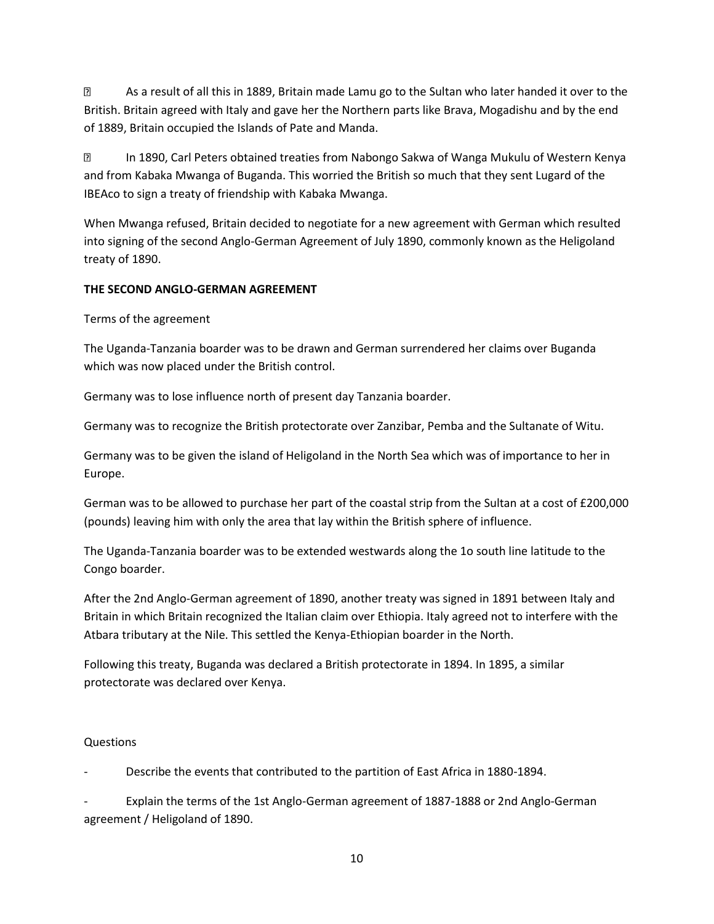3 As a result of all this in 1889, Britain made Lamu go to the Sultan who later handed it over to the British. Britain agreed with Italy and gave her the Northern parts like Brava, Mogadishu and by the end of 1889, Britain occupied the Islands of Pate and Manda.

? In 1890, Carl Peters obtained treaties from Nabongo Sakwa of Wanga Mukulu of Western Kenya and from Kabaka Mwanga of Buganda. This worried the British so much that they sent Lugard of the IBEAco to sign a treaty of friendship with Kabaka Mwanga.

When Mwanga refused, Britain decided to negotiate for a new agreement with German which resulted into signing of the second Anglo-German Agreement of July 1890, commonly known as the Heligoland treaty of 1890.

# **THE SECOND ANGLO-GERMAN AGREEMENT**

Terms of the agreement

The Uganda-Tanzania boarder was to be drawn and German surrendered her claims over Buganda which was now placed under the British control.

Germany was to lose influence north of present day Tanzania boarder.

Germany was to recognize the British protectorate over Zanzibar, Pemba and the Sultanate of Witu.

Germany was to be given the island of Heligoland in the North Sea which was of importance to her in Europe.

German was to be allowed to purchase her part of the coastal strip from the Sultan at a cost of £200,000 (pounds) leaving him with only the area that lay within the British sphere of influence.

The Uganda-Tanzania boarder was to be extended westwards along the 1o south line latitude to the Congo boarder.

After the 2nd Anglo-German agreement of 1890, another treaty was signed in 1891 between Italy and Britain in which Britain recognized the Italian claim over Ethiopia. Italy agreed not to interfere with the Atbara tributary at the Nile. This settled the Kenya-Ethiopian boarder in the North.

Following this treaty, Buganda was declared a British protectorate in 1894. In 1895, a similar protectorate was declared over Kenya.

# Questions

- Describe the events that contributed to the partition of East Africa in 1880-1894.

Explain the terms of the 1st Anglo-German agreement of 1887-1888 or 2nd Anglo-German agreement / Heligoland of 1890.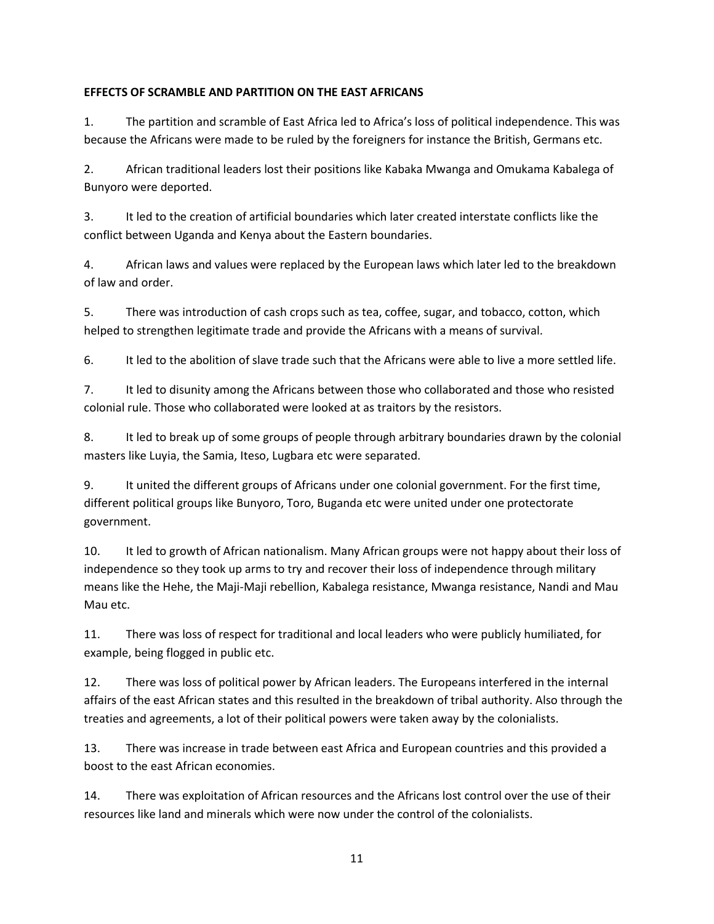## **EFFECTS OF SCRAMBLE AND PARTITION ON THE EAST AFRICANS**

1. The partition and scramble of East Africa led to Africa's loss of political independence. This was because the Africans were made to be ruled by the foreigners for instance the British, Germans etc.

2. African traditional leaders lost their positions like Kabaka Mwanga and Omukama Kabalega of Bunyoro were deported.

3. It led to the creation of artificial boundaries which later created interstate conflicts like the conflict between Uganda and Kenya about the Eastern boundaries.

4. African laws and values were replaced by the European laws which later led to the breakdown of law and order.

5. There was introduction of cash crops such as tea, coffee, sugar, and tobacco, cotton, which helped to strengthen legitimate trade and provide the Africans with a means of survival.

6. It led to the abolition of slave trade such that the Africans were able to live a more settled life.

7. It led to disunity among the Africans between those who collaborated and those who resisted colonial rule. Those who collaborated were looked at as traitors by the resistors.

8. It led to break up of some groups of people through arbitrary boundaries drawn by the colonial masters like Luyia, the Samia, Iteso, Lugbara etc were separated.

9. It united the different groups of Africans under one colonial government. For the first time, different political groups like Bunyoro, Toro, Buganda etc were united under one protectorate government.

10. It led to growth of African nationalism. Many African groups were not happy about their loss of independence so they took up arms to try and recover their loss of independence through military means like the Hehe, the Maji-Maji rebellion, Kabalega resistance, Mwanga resistance, Nandi and Mau Mau etc.

11. There was loss of respect for traditional and local leaders who were publicly humiliated, for example, being flogged in public etc.

12. There was loss of political power by African leaders. The Europeans interfered in the internal affairs of the east African states and this resulted in the breakdown of tribal authority. Also through the treaties and agreements, a lot of their political powers were taken away by the colonialists.

13. There was increase in trade between east Africa and European countries and this provided a boost to the east African economies.

14. There was exploitation of African resources and the Africans lost control over the use of their resources like land and minerals which were now under the control of the colonialists.

11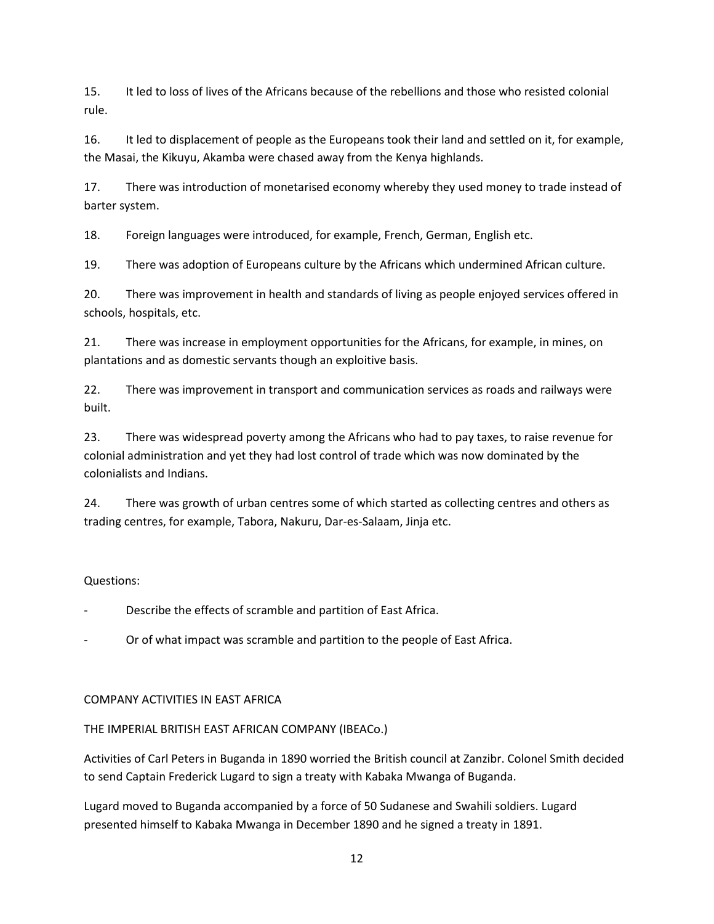15. It led to loss of lives of the Africans because of the rebellions and those who resisted colonial rule.

16. It led to displacement of people as the Europeans took their land and settled on it, for example, the Masai, the Kikuyu, Akamba were chased away from the Kenya highlands.

17. There was introduction of monetarised economy whereby they used money to trade instead of barter system.

18. Foreign languages were introduced, for example, French, German, English etc.

19. There was adoption of Europeans culture by the Africans which undermined African culture.

20. There was improvement in health and standards of living as people enjoyed services offered in schools, hospitals, etc.

21. There was increase in employment opportunities for the Africans, for example, in mines, on plantations and as domestic servants though an exploitive basis.

22. There was improvement in transport and communication services as roads and railways were built.

23. There was widespread poverty among the Africans who had to pay taxes, to raise revenue for colonial administration and yet they had lost control of trade which was now dominated by the colonialists and Indians.

24. There was growth of urban centres some of which started as collecting centres and others as trading centres, for example, Tabora, Nakuru, Dar-es-Salaam, Jinja etc.

# Questions:

Describe the effects of scramble and partition of East Africa.

Or of what impact was scramble and partition to the people of East Africa.

# COMPANY ACTIVITIES IN EAST AFRICA

# THE IMPERIAL BRITISH EAST AFRICAN COMPANY (IBEACo.)

Activities of Carl Peters in Buganda in 1890 worried the British council at Zanzibr. Colonel Smith decided to send Captain Frederick Lugard to sign a treaty with Kabaka Mwanga of Buganda.

Lugard moved to Buganda accompanied by a force of 50 Sudanese and Swahili soldiers. Lugard presented himself to Kabaka Mwanga in December 1890 and he signed a treaty in 1891.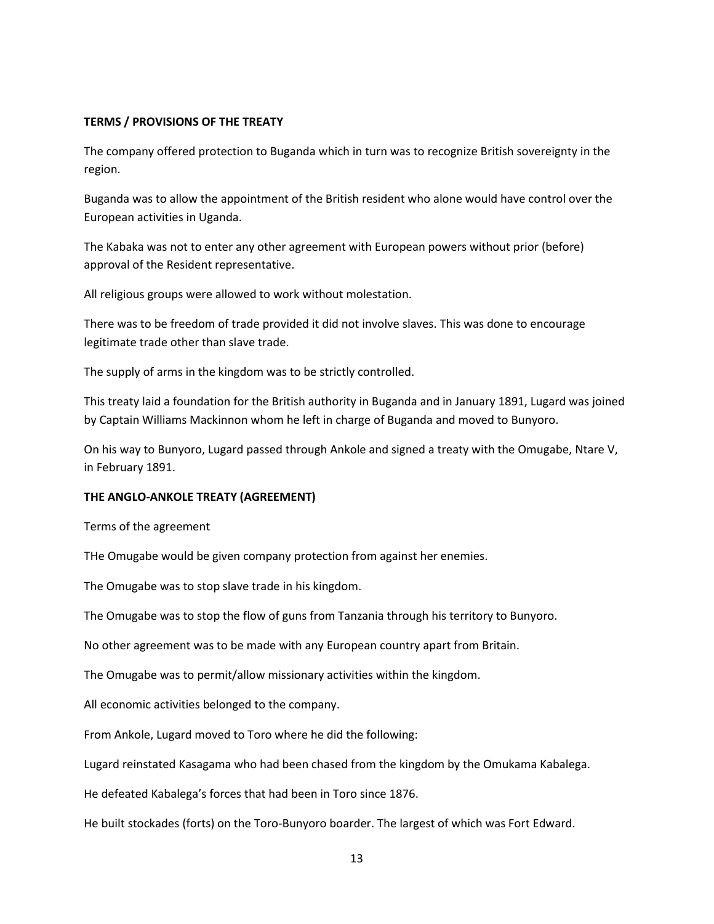### **TERMS / PROVISIONS OF THE TREATY**

The company offered protection to Buganda which in turn was to recognize British sovereignty in the region.

Buganda was to allow the appointment of the British resident who alone would have control over the European activities in Uganda.

The Kabaka was not to enter any other agreement with European powers without prior (before) approval of the Resident representative.

All religious groups were allowed to work without molestation.

There was to be freedom of trade provided it did not involve slaves. This was done to encourage legitimate trade other than slave trade.

The supply of arms in the kingdom was to be strictly controlled.

This treaty laid a foundation for the British authority in Buganda and in January 1891, Lugard was joined by Captain Williams Mackinnon whom he left in charge of Buganda and moved to Bunyoro.

On his way to Bunyoro, Lugard passed through Ankole and signed a treaty with the Omugabe, Ntare V, in February 1891.

#### **THE ANGLO-ANKOLE TREATY (AGREEMENT)**

Terms of the agreement

THe Omugabe would be given company protection from against her enemies.

The Omugabe was to stop slave trade in his kingdom.

The Omugabe was to stop the flow of guns from Tanzania through his territory to Bunyoro.

No other agreement was to be made with any European country apart from Britain.

The Omugabe was to permit/allow missionary activities within the kingdom.

All economic activities belonged to the company.

From Ankole, Lugard moved to Toro where he did the following:

Lugard reinstated Kasagama who had been chased from the kingdom by the Omukama Kabalega.

He defeated Kabalega's forces that had been in Toro since 1876.

He built stockades (forts) on the Toro-Bunyoro boarder. The largest of which was Fort Edward.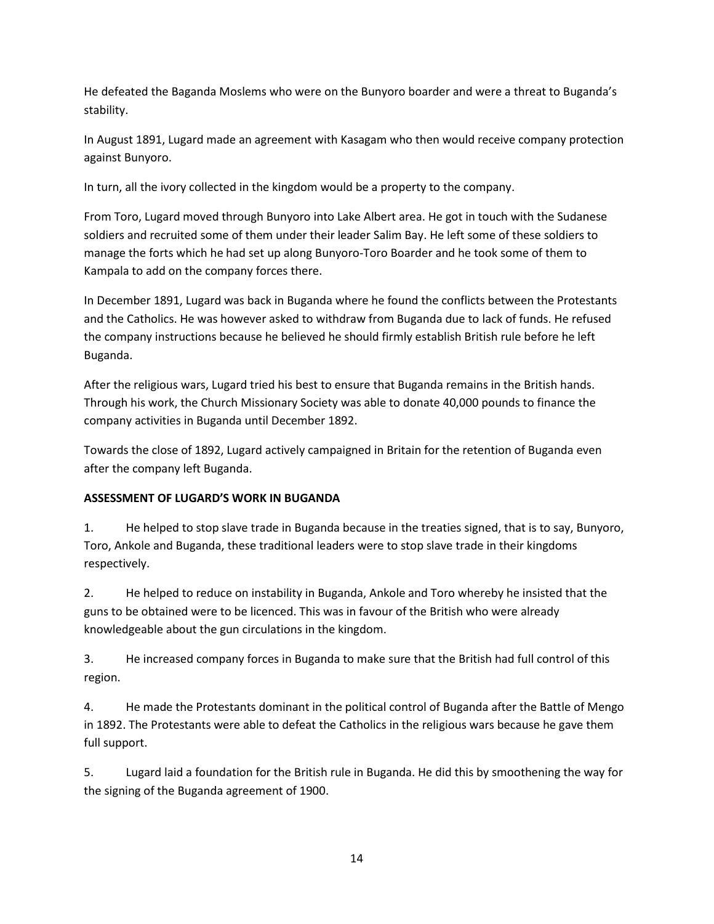He defeated the Baganda Moslems who were on the Bunyoro boarder and were a threat to Buganda's stability.

In August 1891, Lugard made an agreement with Kasagam who then would receive company protection against Bunyoro.

In turn, all the ivory collected in the kingdom would be a property to the company.

From Toro, Lugard moved through Bunyoro into Lake Albert area. He got in touch with the Sudanese soldiers and recruited some of them under their leader Salim Bay. He left some of these soldiers to manage the forts which he had set up along Bunyoro-Toro Boarder and he took some of them to Kampala to add on the company forces there.

In December 1891, Lugard was back in Buganda where he found the conflicts between the Protestants and the Catholics. He was however asked to withdraw from Buganda due to lack of funds. He refused the company instructions because he believed he should firmly establish British rule before he left Buganda.

After the religious wars, Lugard tried his best to ensure that Buganda remains in the British hands. Through his work, the Church Missionary Society was able to donate 40,000 pounds to finance the company activities in Buganda until December 1892.

Towards the close of 1892, Lugard actively campaigned in Britain for the retention of Buganda even after the company left Buganda.

# **ASSESSMENT OF LUGARD'S WORK IN BUGANDA**

1. He helped to stop slave trade in Buganda because in the treaties signed, that is to say, Bunyoro, Toro, Ankole and Buganda, these traditional leaders were to stop slave trade in their kingdoms respectively.

2. He helped to reduce on instability in Buganda, Ankole and Toro whereby he insisted that the guns to be obtained were to be licenced. This was in favour of the British who were already knowledgeable about the gun circulations in the kingdom.

3. He increased company forces in Buganda to make sure that the British had full control of this region.

4. He made the Protestants dominant in the political control of Buganda after the Battle of Mengo in 1892. The Protestants were able to defeat the Catholics in the religious wars because he gave them full support.

5. Lugard laid a foundation for the British rule in Buganda. He did this by smoothening the way for the signing of the Buganda agreement of 1900.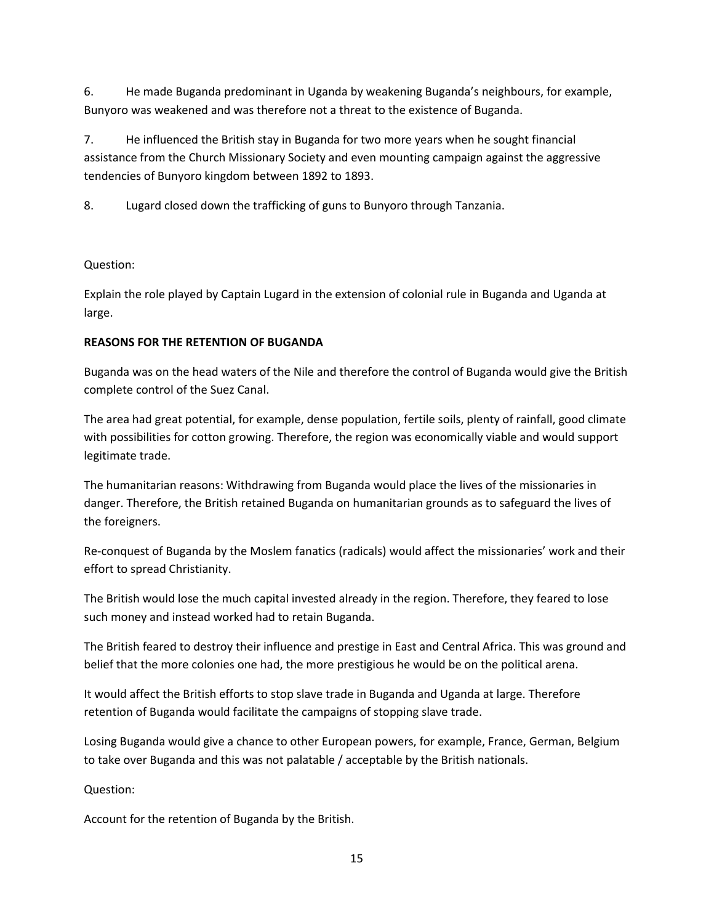6. He made Buganda predominant in Uganda by weakening Buganda's neighbours, for example, Bunyoro was weakened and was therefore not a threat to the existence of Buganda.

7. He influenced the British stay in Buganda for two more years when he sought financial assistance from the Church Missionary Society and even mounting campaign against the aggressive tendencies of Bunyoro kingdom between 1892 to 1893.

8. Lugard closed down the trafficking of guns to Bunyoro through Tanzania.

# Question:

Explain the role played by Captain Lugard in the extension of colonial rule in Buganda and Uganda at large.

# **REASONS FOR THE RETENTION OF BUGANDA**

Buganda was on the head waters of the Nile and therefore the control of Buganda would give the British complete control of the Suez Canal.

The area had great potential, for example, dense population, fertile soils, plenty of rainfall, good climate with possibilities for cotton growing. Therefore, the region was economically viable and would support legitimate trade.

The humanitarian reasons: Withdrawing from Buganda would place the lives of the missionaries in danger. Therefore, the British retained Buganda on humanitarian grounds as to safeguard the lives of the foreigners.

Re-conquest of Buganda by the Moslem fanatics (radicals) would affect the missionaries' work and their effort to spread Christianity.

The British would lose the much capital invested already in the region. Therefore, they feared to lose such money and instead worked had to retain Buganda.

The British feared to destroy their influence and prestige in East and Central Africa. This was ground and belief that the more colonies one had, the more prestigious he would be on the political arena.

It would affect the British efforts to stop slave trade in Buganda and Uganda at large. Therefore retention of Buganda would facilitate the campaigns of stopping slave trade.

Losing Buganda would give a chance to other European powers, for example, France, German, Belgium to take over Buganda and this was not palatable / acceptable by the British nationals.

Question:

Account for the retention of Buganda by the British.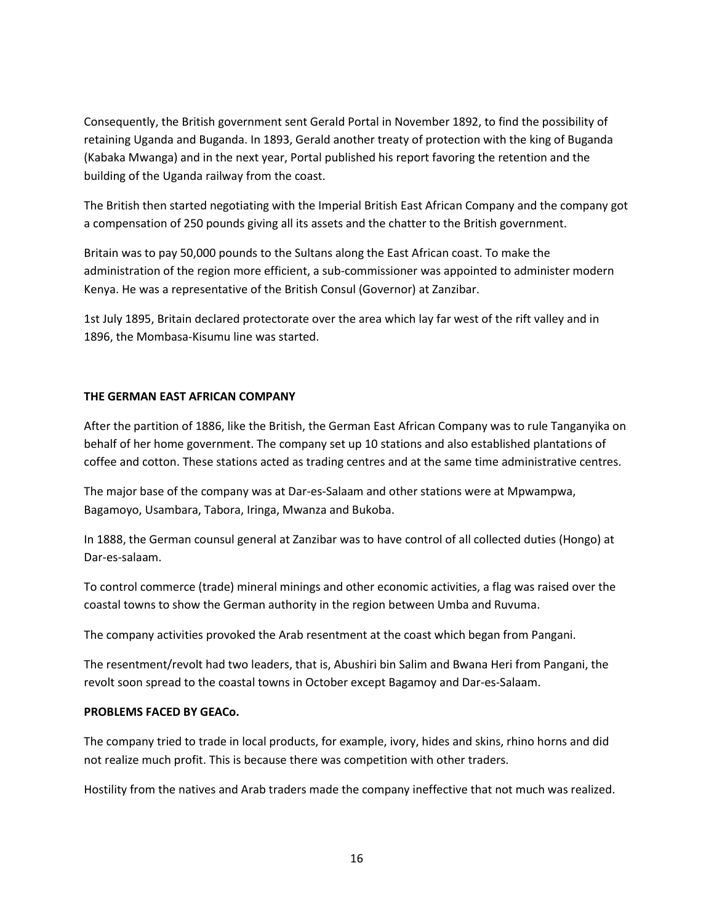Consequently, the British government sent Gerald Portal in November 1892, to find the possibility of retaining Uganda and Buganda. In 1893, Gerald another treaty of protection with the king of Buganda (Kabaka Mwanga) and in the next year, Portal published his report favoring the retention and the building of the Uganda railway from the coast.

The British then started negotiating with the Imperial British East African Company and the company got a compensation of 250 pounds giving all its assets and the chatter to the British government.

Britain was to pay 50,000 pounds to the Sultans along the East African coast. To make the administration of the region more efficient, a sub-commissioner was appointed to administer modern Kenya. He was a representative of the British Consul (Governor) at Zanzibar.

1st July 1895, Britain declared protectorate over the area which lay far west of the rift valley and in 1896, the Mombasa-Kisumu line was started.

## **THE GERMAN EAST AFRICAN COMPANY**

After the partition of 1886, like the British, the German East African Company was to rule Tanganyika on behalf of her home government. The company set up 10 stations and also established plantations of coffee and cotton. These stations acted as trading centres and at the same time administrative centres.

The major base of the company was at Dar-es-Salaam and other stations were at Mpwampwa, Bagamoyo, Usambara, Tabora, Iringa, Mwanza and Bukoba.

In 1888, the German counsul general at Zanzibar was to have control of all collected duties (Hongo) at Dar-es-salaam.

To control commerce (trade) mineral minings and other economic activities, a flag was raised over the coastal towns to show the German authority in the region between Umba and Ruvuma.

The company activities provoked the Arab resentment at the coast which began from Pangani.

The resentment/revolt had two leaders, that is, Abushiri bin Salim and Bwana Heri from Pangani, the revolt soon spread to the coastal towns in October except Bagamoy and Dar-es-Salaam.

## **PROBLEMS FACED BY GEACo.**

The company tried to trade in local products, for example, ivory, hides and skins, rhino horns and did not realize much profit. This is because there was competition with other traders.

Hostility from the natives and Arab traders made the company ineffective that not much was realized.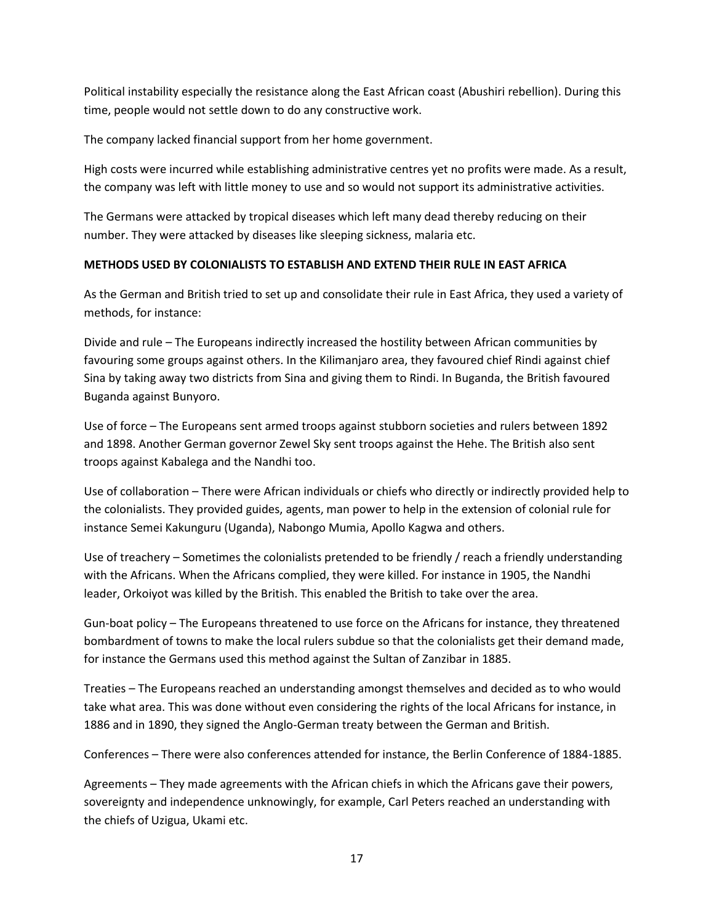Political instability especially the resistance along the East African coast (Abushiri rebellion). During this time, people would not settle down to do any constructive work.

The company lacked financial support from her home government.

High costs were incurred while establishing administrative centres yet no profits were made. As a result, the company was left with little money to use and so would not support its administrative activities.

The Germans were attacked by tropical diseases which left many dead thereby reducing on their number. They were attacked by diseases like sleeping sickness, malaria etc.

## **METHODS USED BY COLONIALISTS TO ESTABLISH AND EXTEND THEIR RULE IN EAST AFRICA**

As the German and British tried to set up and consolidate their rule in East Africa, they used a variety of methods, for instance:

Divide and rule – The Europeans indirectly increased the hostility between African communities by favouring some groups against others. In the Kilimanjaro area, they favoured chief Rindi against chief Sina by taking away two districts from Sina and giving them to Rindi. In Buganda, the British favoured Buganda against Bunyoro.

Use of force – The Europeans sent armed troops against stubborn societies and rulers between 1892 and 1898. Another German governor Zewel Sky sent troops against the Hehe. The British also sent troops against Kabalega and the Nandhi too.

Use of collaboration – There were African individuals or chiefs who directly or indirectly provided help to the colonialists. They provided guides, agents, man power to help in the extension of colonial rule for instance Semei Kakunguru (Uganda), Nabongo Mumia, Apollo Kagwa and others.

Use of treachery – Sometimes the colonialists pretended to be friendly / reach a friendly understanding with the Africans. When the Africans complied, they were killed. For instance in 1905, the Nandhi leader, Orkoiyot was killed by the British. This enabled the British to take over the area.

Gun-boat policy – The Europeans threatened to use force on the Africans for instance, they threatened bombardment of towns to make the local rulers subdue so that the colonialists get their demand made, for instance the Germans used this method against the Sultan of Zanzibar in 1885.

Treaties – The Europeans reached an understanding amongst themselves and decided as to who would take what area. This was done without even considering the rights of the local Africans for instance, in 1886 and in 1890, they signed the Anglo-German treaty between the German and British.

Conferences – There were also conferences attended for instance, the Berlin Conference of 1884-1885.

Agreements – They made agreements with the African chiefs in which the Africans gave their powers, sovereignty and independence unknowingly, for example, Carl Peters reached an understanding with the chiefs of Uzigua, Ukami etc.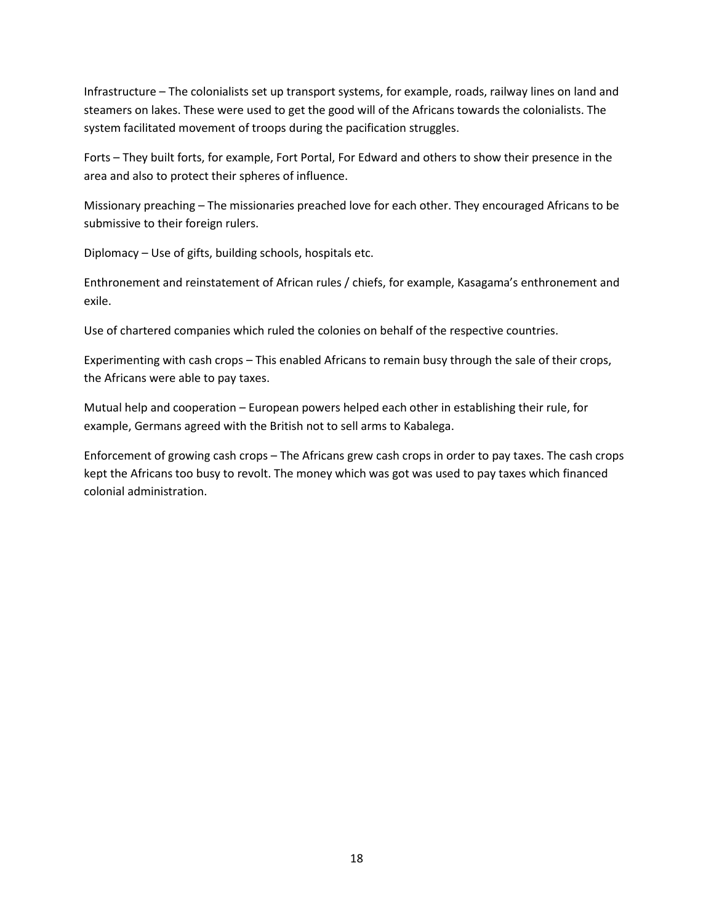Infrastructure – The colonialists set up transport systems, for example, roads, railway lines on land and steamers on lakes. These were used to get the good will of the Africans towards the colonialists. The system facilitated movement of troops during the pacification struggles.

Forts – They built forts, for example, Fort Portal, For Edward and others to show their presence in the area and also to protect their spheres of influence.

Missionary preaching – The missionaries preached love for each other. They encouraged Africans to be submissive to their foreign rulers.

Diplomacy – Use of gifts, building schools, hospitals etc.

Enthronement and reinstatement of African rules / chiefs, for example, Kasagama's enthronement and exile.

Use of chartered companies which ruled the colonies on behalf of the respective countries.

Experimenting with cash crops – This enabled Africans to remain busy through the sale of their crops, the Africans were able to pay taxes.

Mutual help and cooperation – European powers helped each other in establishing their rule, for example, Germans agreed with the British not to sell arms to Kabalega.

Enforcement of growing cash crops – The Africans grew cash crops in order to pay taxes. The cash crops kept the Africans too busy to revolt. The money which was got was used to pay taxes which financed colonial administration.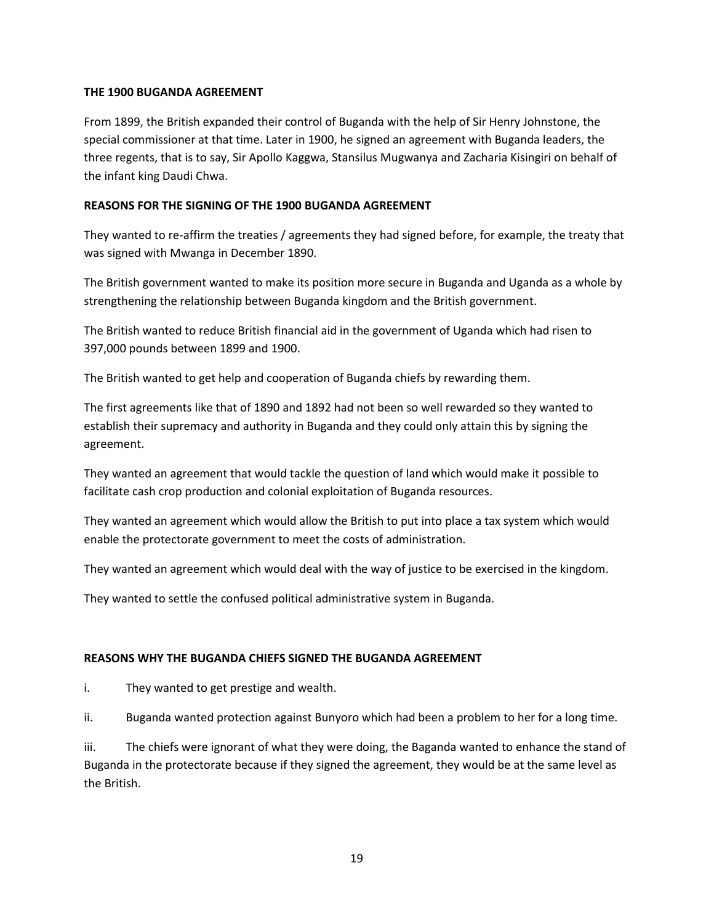## **THE 1900 BUGANDA AGREEMENT**

From 1899, the British expanded their control of Buganda with the help of Sir Henry Johnstone, the special commissioner at that time. Later in 1900, he signed an agreement with Buganda leaders, the three regents, that is to say, Sir Apollo Kaggwa, Stansilus Mugwanya and Zacharia Kisingiri on behalf of the infant king Daudi Chwa.

### **REASONS FOR THE SIGNING OF THE 1900 BUGANDA AGREEMENT**

They wanted to re-affirm the treaties / agreements they had signed before, for example, the treaty that was signed with Mwanga in December 1890.

The British government wanted to make its position more secure in Buganda and Uganda as a whole by strengthening the relationship between Buganda kingdom and the British government.

The British wanted to reduce British financial aid in the government of Uganda which had risen to 397,000 pounds between 1899 and 1900.

The British wanted to get help and cooperation of Buganda chiefs by rewarding them.

The first agreements like that of 1890 and 1892 had not been so well rewarded so they wanted to establish their supremacy and authority in Buganda and they could only attain this by signing the agreement.

They wanted an agreement that would tackle the question of land which would make it possible to facilitate cash crop production and colonial exploitation of Buganda resources.

They wanted an agreement which would allow the British to put into place a tax system which would enable the protectorate government to meet the costs of administration.

They wanted an agreement which would deal with the way of justice to be exercised in the kingdom.

They wanted to settle the confused political administrative system in Buganda.

## **REASONS WHY THE BUGANDA CHIEFS SIGNED THE BUGANDA AGREEMENT**

i. They wanted to get prestige and wealth.

ii. Buganda wanted protection against Bunyoro which had been a problem to her for a long time.

iii. The chiefs were ignorant of what they were doing, the Baganda wanted to enhance the stand of Buganda in the protectorate because if they signed the agreement, they would be at the same level as the British.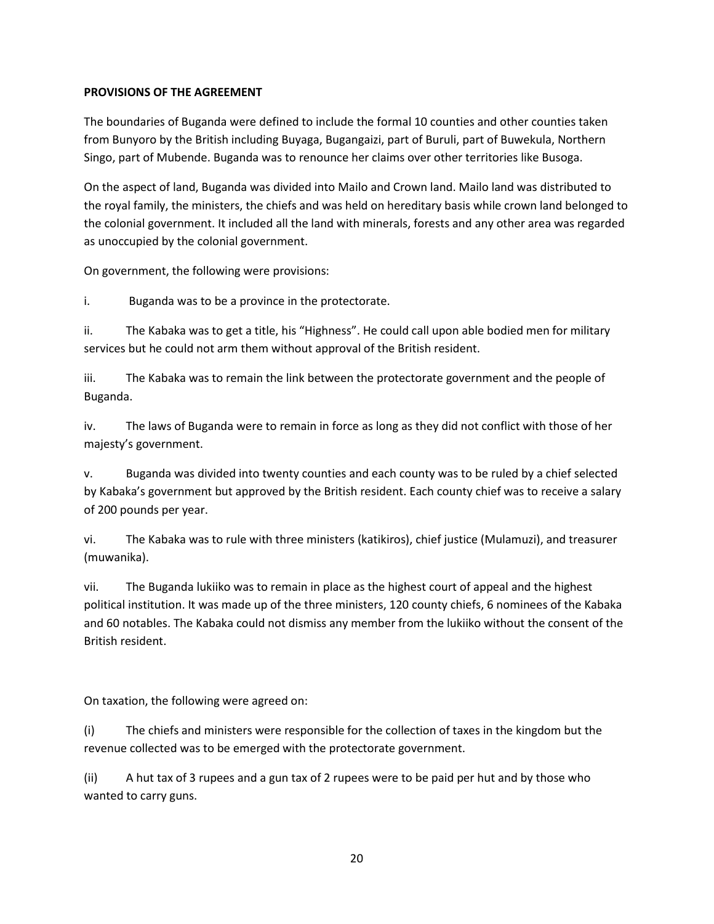## **PROVISIONS OF THE AGREEMENT**

The boundaries of Buganda were defined to include the formal 10 counties and other counties taken from Bunyoro by the British including Buyaga, Bugangaizi, part of Buruli, part of Buwekula, Northern Singo, part of Mubende. Buganda was to renounce her claims over other territories like Busoga.

On the aspect of land, Buganda was divided into Mailo and Crown land. Mailo land was distributed to the royal family, the ministers, the chiefs and was held on hereditary basis while crown land belonged to the colonial government. It included all the land with minerals, forests and any other area was regarded as unoccupied by the colonial government.

On government, the following were provisions:

i. Buganda was to be a province in the protectorate.

ii. The Kabaka was to get a title, his "Highness". He could call upon able bodied men for military services but he could not arm them without approval of the British resident.

iii. The Kabaka was to remain the link between the protectorate government and the people of Buganda.

iv. The laws of Buganda were to remain in force as long as they did not conflict with those of her majesty's government.

v. Buganda was divided into twenty counties and each county was to be ruled by a chief selected by Kabaka's government but approved by the British resident. Each county chief was to receive a salary of 200 pounds per year.

vi. The Kabaka was to rule with three ministers (katikiros), chief justice (Mulamuzi), and treasurer (muwanika).

vii. The Buganda lukiiko was to remain in place as the highest court of appeal and the highest political institution. It was made up of the three ministers, 120 county chiefs, 6 nominees of the Kabaka and 60 notables. The Kabaka could not dismiss any member from the lukiiko without the consent of the British resident.

On taxation, the following were agreed on:

(i) The chiefs and ministers were responsible for the collection of taxes in the kingdom but the revenue collected was to be emerged with the protectorate government.

(ii) A hut tax of 3 rupees and a gun tax of 2 rupees were to be paid per hut and by those who wanted to carry guns.

20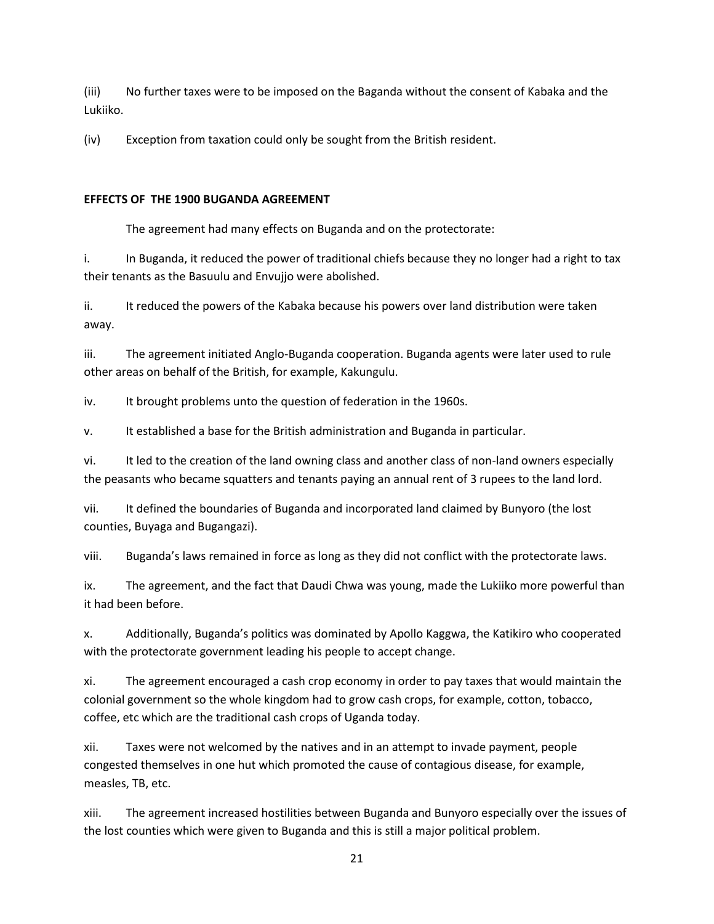(iii) No further taxes were to be imposed on the Baganda without the consent of Kabaka and the Lukiiko.

(iv) Exception from taxation could only be sought from the British resident.

## **EFFECTS OF THE 1900 BUGANDA AGREEMENT**

The agreement had many effects on Buganda and on the protectorate:

i. In Buganda, it reduced the power of traditional chiefs because they no longer had a right to tax their tenants as the Basuulu and Envujjo were abolished.

ii. It reduced the powers of the Kabaka because his powers over land distribution were taken away.

iii. The agreement initiated Anglo-Buganda cooperation. Buganda agents were later used to rule other areas on behalf of the British, for example, Kakungulu.

iv. It brought problems unto the question of federation in the 1960s.

v. It established a base for the British administration and Buganda in particular.

vi. It led to the creation of the land owning class and another class of non-land owners especially the peasants who became squatters and tenants paying an annual rent of 3 rupees to the land lord.

vii. It defined the boundaries of Buganda and incorporated land claimed by Bunyoro (the lost counties, Buyaga and Bugangazi).

viii. Buganda's laws remained in force as long as they did not conflict with the protectorate laws.

ix. The agreement, and the fact that Daudi Chwa was young, made the Lukiiko more powerful than it had been before.

x. Additionally, Buganda's politics was dominated by Apollo Kaggwa, the Katikiro who cooperated with the protectorate government leading his people to accept change.

xi. The agreement encouraged a cash crop economy in order to pay taxes that would maintain the colonial government so the whole kingdom had to grow cash crops, for example, cotton, tobacco, coffee, etc which are the traditional cash crops of Uganda today.

xii. Taxes were not welcomed by the natives and in an attempt to invade payment, people congested themselves in one hut which promoted the cause of contagious disease, for example, measles, TB, etc.

xiii. The agreement increased hostilities between Buganda and Bunyoro especially over the issues of the lost counties which were given to Buganda and this is still a major political problem.